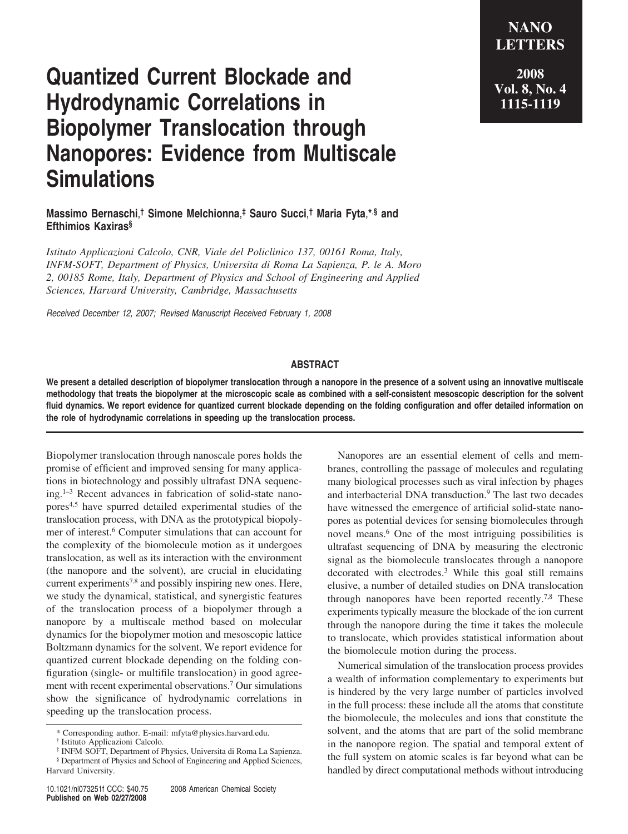**Quantized Current Blockade and Hydrodynamic Correlations in Biopolymer Translocation through Nanopores: Evidence from Multiscale**

## **Massimo Bernaschi**, **† Simone Melchionna**, **‡ Sauro Succi**, **† Maria Fyta**,**\***,**§ and Efthimios Kaxiras§**

*Istituto Applicazioni Calcolo, CNR, Viale del Policlinico 137, 00161 Roma, Italy, INFM-SOFT, Department of Physics, Uni*V*ersita di Roma La Sapienza, P. le A. Moro 2, 00185 Rome, Italy, Department of Physics and School of Engineering and Applied Sciences, Har*V*ard Uni*V*ersity, Cambridge, Massachusetts*

*Received December 12, 2007; Revised Manuscript Received February 1, 2008*

**Simulations**

## **ABSTRACT**

**We present a detailed description of biopolymer translocation through a nanopore in the presence of a solvent using an innovative multiscale methodology that treats the biopolymer at the microscopic scale as combined with a self-consistent mesoscopic description for the solvent fluid dynamics. We report evidence for quantized current blockade depending on the folding configuration and offer detailed information on the role of hydrodynamic correlations in speeding up the translocation process.**

Biopolymer translocation through nanoscale pores holds the promise of efficient and improved sensing for many applications in biotechnology and possibly ultrafast DNA sequencing.1–3 Recent advances in fabrication of solid-state nanopores4,5 have spurred detailed experimental studies of the translocation process, with DNA as the prototypical biopolymer of interest.6 Computer simulations that can account for the complexity of the biomolecule motion as it undergoes translocation, as well as its interaction with the environment (the nanopore and the solvent), are crucial in elucidating current experiments<sup>7,8</sup> and possibly inspiring new ones. Here, we study the dynamical, statistical, and synergistic features of the translocation process of a biopolymer through a nanopore by a multiscale method based on molecular dynamics for the biopolymer motion and mesoscopic lattice Boltzmann dynamics for the solvent. We report evidence for quantized current blockade depending on the folding configuration (single- or multifile translocation) in good agreement with recent experimental observations.7 Our simulations show the significance of hydrodynamic correlations in speeding up the translocation process.

Nanopores are an essential element of cells and membranes, controlling the passage of molecules and regulating many biological processes such as viral infection by phages and interbacterial DNA transduction.<sup>9</sup> The last two decades have witnessed the emergence of artificial solid-state nanopores as potential devices for sensing biomolecules through novel means.6 One of the most intriguing possibilities is ultrafast sequencing of DNA by measuring the electronic signal as the biomolecule translocates through a nanopore decorated with electrodes.3 While this goal still remains elusive, a number of detailed studies on DNA translocation through nanopores have been reported recently.<sup>7,8</sup> These experiments typically measure the blockade of the ion current through the nanopore during the time it takes the molecule to translocate, which provides statistical information about the biomolecule motion during the process.

Numerical simulation of the translocation process provides a wealth of information complementary to experiments but is hindered by the very large number of particles involved in the full process: these include all the atoms that constitute the biomolecule, the molecules and ions that constitute the solvent, and the atoms that are part of the solid membrane in the nanopore region. The spatial and temporal extent of the full system on atomic scales is far beyond what can be handled by direct computational methods without introducing

**2008 Vol. 8, No. 4 1115-1119**

**NANO LETTERS**

<sup>\*</sup> Corresponding author. E-mail: mfyta@physics.harvard.edu.

<sup>†</sup> Istituto Applicazioni Calcolo.

<sup>‡</sup> INFM-SOFT, Department of Physics, Universita di Roma La Sapienza.

<sup>§</sup> Department of Physics and School of Engineering and Applied Sciences, Harvard University.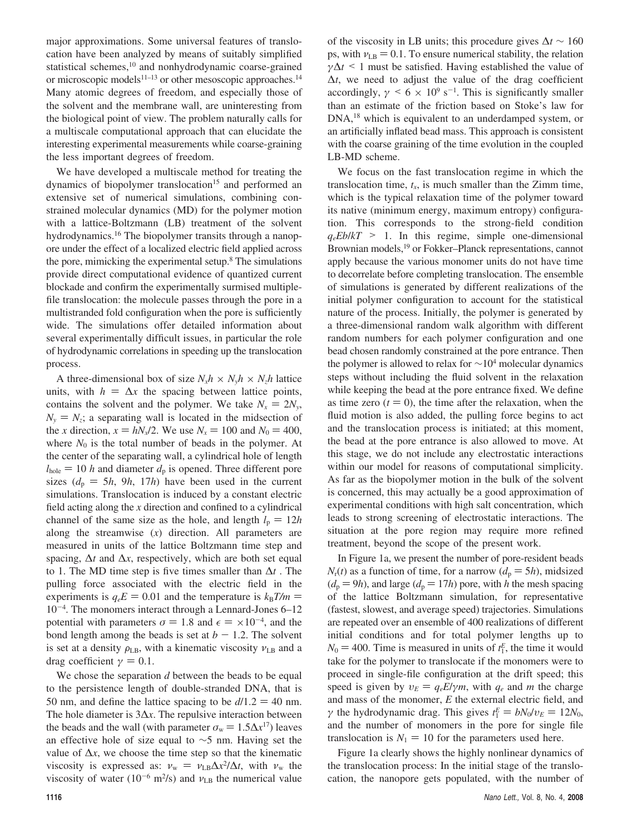major approximations. Some universal features of translocation have been analyzed by means of suitably simplified statistical schemes,<sup>10</sup> and nonhydrodynamic coarse-grained or microscopic models $11-13$  or other mesoscopic approaches.<sup>14</sup> Many atomic degrees of freedom, and especially those of the solvent and the membrane wall, are uninteresting from the biological point of view. The problem naturally calls for a multiscale computational approach that can elucidate the interesting experimental measurements while coarse-graining the less important degrees of freedom.

We have developed a multiscale method for treating the dynamics of biopolymer translocation<sup>15</sup> and performed an extensive set of numerical simulations, combining constrained molecular dynamics (MD) for the polymer motion with a lattice-Boltzmann (LB) treatment of the solvent hydrodynamics.16 The biopolymer transits through a nanopore under the effect of a localized electric field applied across the pore, mimicking the experimental setup.8 The simulations provide direct computational evidence of quantized current blockade and confirm the experimentally surmised multiplefile translocation: the molecule passes through the pore in a multistranded fold configuration when the pore is sufficiently wide. The simulations offer detailed information about several experimentally difficult issues, in particular the role of hydrodynamic correlations in speeding up the translocation process.

A three-dimensional box of size  $N_x h \times N_y h \times N_z h$  lattice units, with  $h = \Delta x$  the spacing between lattice points, contains the solvent and the polymer. We take  $N_x = 2N_y$ ,  $N_v = N_z$ ; a separating wall is located in the midsection of the *x* direction,  $x = hN_x/2$ . We use  $N_x = 100$  and  $N_0 = 400$ , where  $N_0$  is the total number of beads in the polymer. At the center of the separating wall, a cylindrical hole of length  $l_{\text{hole}} = 10$  *h* and diameter  $d_{\text{p}}$  is opened. Three different pore sizes  $(d_p = 5h, 9h, 17h)$  have been used in the current simulations. Translocation is induced by a constant electric field acting along the *x* direction and confined to a cylindrical channel of the same size as the hole, and length  $l_p = 12h$ along the streamwise (*x*) direction. All parameters are measured in units of the lattice Boltzmann time step and spacing, ∆*t* and ∆*x*, respectively, which are both set equal to 1. The MD time step is five times smaller than ∆*t* . The pulling force associated with the electric field in the experiments is  $q_eE = 0.01$  and the temperature is  $k_B T/m =$ 10-<sup>4</sup> . The monomers interact through a Lennard-Jones 6–12 potential with parameters  $\sigma = 1.8$  and  $\epsilon = \times 10^{-4}$ , and the bond length among the beads is set at  $h = 1.2$ . The solvent bond length among the beads is set at  $b - 1.2$ . The solvent is set at a density  $\rho_{\text{LB}}$ , with a kinematic viscosity  $v_{\text{LB}}$  and a drag coefficient  $\gamma = 0.1$ .

We chose the separation *d* between the beads to be equal to the persistence length of double-stranded DNA, that is 50 nm, and define the lattice spacing to be  $d/1.2 = 40$  nm. The hole diameter is 3∆*x*. The repulsive interaction between the beads and the wall (with parameter  $\sigma_w = 1.5\Delta x^{17}$ ) leaves an effective hole of size equal to ∼5 nm. Having set the value of  $\Delta x$ , we choose the time step so that the kinematic viscosity is expressed as:  $\nu_w = \nu_{LB} \Delta x^2 / \Delta t$ , with  $\nu_w$  the viscosity of water (10<sup>-6</sup> m<sup>2</sup>/s) and  $\nu_w$  the numerical value viscosity of water  $(10^{-6} \text{ m}^2/\text{s})$  and  $v_{LB}$  the numerical value

of the viscosity in LB units; this procedure gives ∆*t* ∼ 160 ps, with  $v_{LB} = 0.1$ . To ensure numerical stability, the relation  $\gamma \Delta t$  < 1 must be satisfied. Having established the value of  $\Delta t$ , we need to adjust the value of the drag coefficient accordingly,  $\gamma \leq 6 \times 10^9 \text{ s}^{-1}$ . This is significantly smaller<br>than an estimate of the friction based on Stoke's law for than an estimate of the friction based on Stoke's law for DNA,<sup>18</sup> which is equivalent to an underdamped system, or an artificially inflated bead mass. This approach is consistent with the coarse graining of the time evolution in the coupled LB-MD scheme.

We focus on the fast translocation regime in which the translocation time,  $t_x$ , is much smaller than the Zimm time, which is the typical relaxation time of the polymer toward its native (minimum energy, maximum entropy) configuration. This corresponds to the strong-field condition  $q_eEblkT > 1$ . In this regime, simple one-dimensional Brownian models,<sup>19</sup> or Fokker–Planck representations, cannot apply because the various monomer units do not have time to decorrelate before completing translocation. The ensemble of simulations is generated by different realizations of the initial polymer configuration to account for the statistical nature of the process. Initially, the polymer is generated by a three-dimensional random walk algorithm with different random numbers for each polymer configuration and one bead chosen randomly constrained at the pore entrance. Then the polymer is allowed to relax for  $\sim 10^4$  molecular dynamics steps without including the fluid solvent in the relaxation while keeping the bead at the pore entrance fixed. We define as time zero  $(t = 0)$ , the time after the relaxation, when the fluid motion is also added, the pulling force begins to act and the translocation process is initiated; at this moment, the bead at the pore entrance is also allowed to move. At this stage, we do not include any electrostatic interactions within our model for reasons of computational simplicity. As far as the biopolymer motion in the bulk of the solvent is concerned, this may actually be a good approximation of experimental conditions with high salt concentration, which leads to strong screening of electrostatic interactions. The situation at the pore region may require more refined treatment, beyond the scope of the present work.

In Figure 1a, we present the number of pore-resident beads  $N_r(t)$  as a function of time, for a narrow  $(d_p = 5h)$ , midsized  $(d_p = 9h)$ , and large  $(d_p = 17h)$  pore, with *h* the mesh spacing of the lattice Boltzmann simulation, for representative (fastest, slowest, and average speed) trajectories. Simulations are repeated over an ensemble of 400 realizations of different initial conditions and for total polymer lengths up to  $N_0 = 400$ . Time is measured in units of  $t_1^E$ , the time it would take for the polymer to translocate if the monomers were to take for the polymer to translocate if the monomers were to proceed in single-file configuration at the drift speed; this speed is given by  $v_E = q_e E / \gamma m$ , with  $q_e$  and *m* the charge and mass of the monomer, *E* the external electric field, and *γ* the hydrodynamic drag. This gives  $t_1^E = bN_0/v_E = 12N_0$ , and the number of monomers in the pore for single file and the number of monomers in the pore for single file translocation is  $N_1 = 10$  for the parameters used here.

Figure 1a clearly shows the highly nonlinear dynamics of the translocation process: In the initial stage of the translocation, the nanopore gets populated, with the number of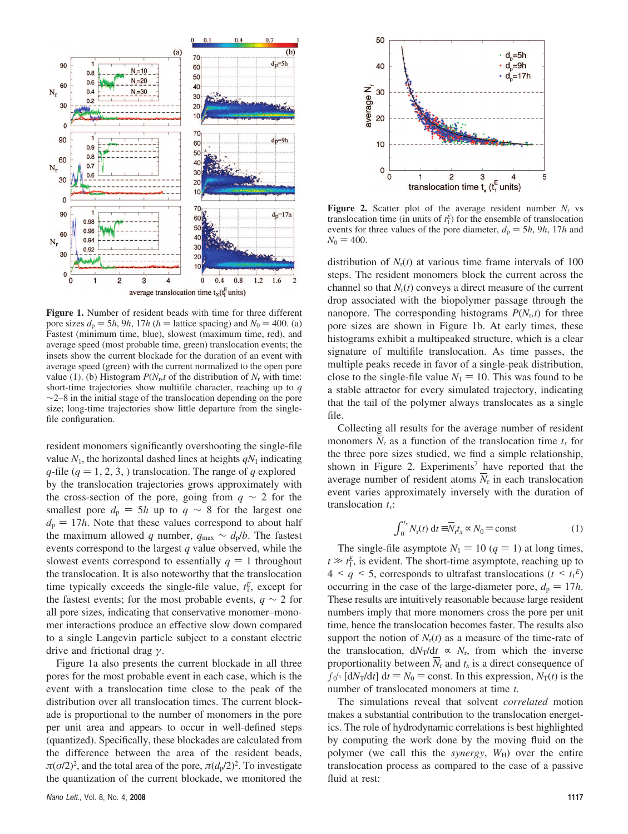

**Figure 1.** Number of resident beads with time for three different pore sizes  $d_p = 5h$ , 9*h*, 17*h* ( $h =$  lattice spacing) and  $N_0 = 400$ . (a) Fastest (minimum time, blue), slowest (maximum time, red), and average speed (most probable time, green) translocation events; the insets show the current blockade for the duration of an event with average speed (green) with the current normalized to the open pore value (1). (b) Histogram  $P(N_r, t)$  of the distribution of  $N_r$  with time: short-time trajectories show multifile character, reaching up to *q*  $\sim$ 2–8 in the initial stage of the translocation depending on the pore size; long-time trajectories show little departure from the singlefile configuration.

resident monomers significantly overshooting the single-file value  $N_1$ , the horizontal dashed lines at heights  $qN_1$  indicating *q*-file ( $q = 1, 2, 3$ , ) translocation. The range of  $q$  explored by the translocation trajectories grows approximately with the cross-section of the pore, going from  $q \sim 2$  for the smallest pore  $d_p = 5h$  up to  $q \sim 8$  for the largest one  $d_p = 17h$ . Note that these values correspond to about half the maximum allowed *q* number,  $q_{\text{max}} \sim d_p/b$ . The fastest events correspond to the largest *q* value observed, while the slowest events correspond to essentially  $q = 1$  throughout the translocation. It is also noteworthy that the translocation time typically exceeds the single-file value,  $t_1^E$ , except for the fastest events; for the most probable events,  $q \sim 2$  for all pore sizes, indicating that conservative monomer–monomer interactions produce an effective slow down compared to a single Langevin particle subject to a constant electric drive and frictional drag *γ*.

Figure 1a also presents the current blockade in all three pores for the most probable event in each case, which is the event with a translocation time close to the peak of the distribution over all translocation times. The current blockade is proportional to the number of monomers in the pore per unit area and appears to occur in well-defined steps (quantized). Specifically, these blockades are calculated from the difference between the area of the resident beads,  $\pi(\sigma/2)^2$ , and the total area of the pore,  $\pi(d_p/2)^2$ . To investigate the quantization of the current blockade, we monitored the



**Figure 2.** Scatter plot of the average resident number  $N_r$  vs translocation time (in units of  $t_1^E$ ) for the ensemble of translocation events for three values of the pore diameter,  $d_p = 5h$ , 9*h*, 17*h* and  $N_0 = 400.$ 

distribution of  $N_r(t)$  at various time frame intervals of 100 steps. The resident monomers block the current across the channel so that  $N_r(t)$  conveys a direct measure of the current drop associated with the biopolymer passage through the nanopore. The corresponding histograms  $P(N<sub>p</sub>t)$  for three pore sizes are shown in Figure 1b. At early times, these histograms exhibit a multipeaked structure, which is a clear signature of multifile translocation. As time passes, the multiple peaks recede in favor of a single-peak distribution, close to the single-file value  $N_1 = 10$ . This was found to be a stable attractor for every simulated trajectory, indicating that the tail of the polymer always translocates as a single file.

Collecting all results for the average number of resident monomers  $N_r$  as a function of the translocation time  $t_x$  for the three pore sizes studied, we find a simple relationship, shown in Figure 2. Experiments<sup>7</sup> have reported that the average number of resident atoms  $N_r$  in each translocation event varies approximately inversely with the duration of translocation  $t<sub>x</sub>$ :

$$
\int_0^{t_x} N_{\rm r}(t) \, \mathrm{d}t \equiv \overline{N}_{\rm r} t_x \sim N_0 = \text{const}
$$
 (1)

The single-file asymptote  $N_1 = 10 (q = 1)$  at long times,  $t \gg t_1^E$ , is evident. The short-time asymptote, reaching up to  $A \le a \le 5$ , corresponds to ultrafast translocations  $(t \le t_1^E)$  $4 \leq q \leq 5$ , corresponds to ultrafast translocations  $(t \leq t_1^E)$ <br>occurring in the case of the large-diameter pore  $d = 17h$ occurring in the case of the large-diameter pore,  $d_p = 17h$ . These results are intuitively reasonable because large resident numbers imply that more monomers cross the pore per unit time, hence the translocation becomes faster. The results also support the notion of  $N_r(t)$  as a measure of the time-rate of the translocation,  $dN_T/dt \propto N_r$ , from which the inverse proportionality between  $N_r$  and  $t_x$  is a direct consequence of  $\int_0^{t_x} [dN_T/dt] dt = N_0 = \text{const.}$  In this expression,  $N_T(t)$  is the number of translocated monomers at time t number of translocated monomers at time *t*.

The simulations reveal that solvent *correlated* motion makes a substantial contribution to the translocation energetics. The role of hydrodynamic correlations is best highlighted by computing the work done by the moving fluid on the polymer (we call this the *synergy*,  $W_H$ ) over the entire translocation process as compared to the case of a passive fluid at rest: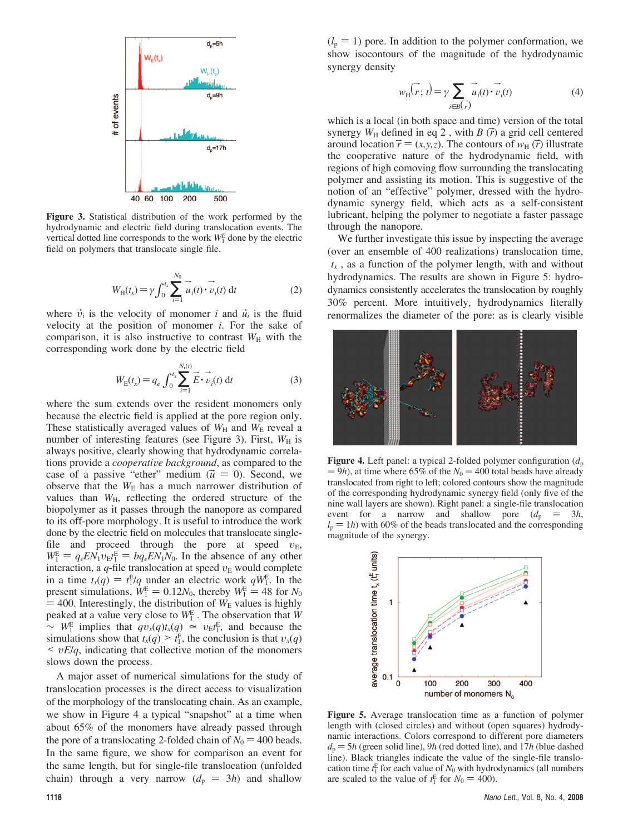

**Figure 3.** Statistical distribution of the work performed by the hydrodynamic and electric field during translocation events. The vertical dotted line corresponds to the work  $W_1^E$  done by the electric field on polymers that translocate single file.

$$
W_{\rm H}(t_x) = \gamma \int_0^{t_x} \sum_{i=1}^{N_0} \overrightarrow{u_i}(t) \cdot \overrightarrow{v_i}(t) dt
$$
 (2)

where  $\vec{v}_i$  is the velocity of monomer *i* and  $\vec{u}_i$  is the fluid velocity at the position of monomer *i*. For the sake of comparison, it is also instructive to contrast  $W_H$  with the corresponding work done by the electric field

$$
W_{\rm E}(t_x) = q_e \int_0^{t_x} \sum_{i=1}^{N_{\rm r}(t)} \vec{E} \cdot \vec{v}_i(t) dt
$$
 (3)

where the sum extends over the resident monomers only because the electric field is applied at the pore region only. These statistically averaged values of  $W_H$  and  $W_E$  reveal a number of interesting features (see Figure 3). First,  $W_H$  is always positive, clearly showing that hydrodynamic correlations provide a *cooperative background*, as compared to the case of a passive "ether" medium  $(\vec{u} = 0)$ . Second, we observe that the  $W_{\rm E}$  has a much narrower distribution of values than  $W_{\text{H}}$ , reflecting the ordered structure of the biopolymer as it passes through the nanopore as compared to its off-pore morphology. It is useful to introduce the work done by the electric field on molecules that translocate singlefile and proceed through the pore at speed  $v<sub>E</sub>$ ,  $W_1^E = q_e EN_1v_Et_1^E = bq_e EN_1N_0$ . In the absence of any other interaction a *a*-file translocation at speed  $v_E$  would complete interaction, a  $q$ -file translocation at speed  $v<sub>E</sub>$  would complete in a time  $t_x(q) = t_1^E/q$  under an electric work  $qW_1^E$ . In the present simulations  $W_1^E = 0.12N_0$  thereby  $W_1^E = 48$  for  $N_0$ present simulations,  $W_1^E = 0.12N_0$ , thereby  $W_1^E = 48$  for  $N_0$ <br>= 400 Interestingly the distribution of  $W_E$  values is highly  $=$  400. Interestingly, the distribution of  $W<sub>E</sub>$  values is highly peaked at a value very close to  $W_1^E$ . The observation that *W*  $\sim$  *W*<sub>1</sub><sup>E</sup> implies that  $qv_x(q)t_x(q) \approx v_E t_1^E$ , and because the simulations show that  $t_x(q) \ge t_1^E$ , the conclusion is that  $v_x(q) \le t_E E/a$  indicating that collective motion of the monomers < *<sup>υ</sup>E*/*q*, indicating that collective motion of the monomers slows down the process.

A major asset of numerical simulations for the study of translocation processes is the direct access to visualization of the morphology of the translocating chain. As an example, we show in Figure 4 a typical "snapshot" at a time when about 65% of the monomers have already passed through the pore of a translocating 2-folded chain of  $N_0 = 400$  beads. In the same figure, we show for comparison an event for the same length, but for single-file translocation (unfolded chain) through a very narrow  $(d_p = 3h)$  and shallow<br>1118

 $(l_p = 1)$  pore. In addition to the polymer conformation, we show isocontours of the magnitude of the hydrodynamic synergy density

$$
w_{\text{H}}(\vec{r};t) = \gamma \sum_{i \in B} \vec{u}_i(t) \cdot \vec{v}_i(t)
$$
 (4)

which is a local (in both space and time) version of the total synergy  $W_H$  defined in eq 2, with  $B(\vec{r})$  a grid cell centered around location  $\vec{r} = (x, y, z)$ . The contours of  $w_H(\vec{r})$  illustrate the cooperative nature of the hydrodynamic field, with regions of high comoving flow surrounding the translocating polymer and assisting its motion. This is suggestive of the notion of an "effective" polymer, dressed with the hydrodynamic synergy field, which acts as a self-consistent lubricant, helping the polymer to negotiate a faster passage through the nanopore.

We further investigate this issue by inspecting the average (over an ensemble of 400 realizations) translocation time,  $\langle t_x \rangle$ , as a function of the polymer length, with and without hydrodynamics. The results are shown in Figure 5: hydrodynamics consistently accelerates the translocation by roughly 30% percent. More intuitively, hydrodynamics literally renormalizes the diameter of the pore: as is clearly visible



**Figure 4.** Left panel: a typical 2-folded polymer configuration  $(d_p)$  $= 9h$ ), at time where 65% of the  $N_0 = 400$  total beads have already translocated from right to left; colored contours show the magnitude of the corresponding hydrodynamic synergy field (only five of the nine wall layers are shown). Right panel: a single-file translocation event for a narrow and shallow pore  $(d_p = 3h$ ,  $l_p = 1h$ ) with 60% of the beads translocated and the corresponding magnitude of the synergy.



**Figure 5.** Average translocation time as a function of polymer length with (closed circles) and without (open squares) hydrodynamic interactions. Colors correspond to different pore diameters  $d_p = 5h$  (green solid line), 9*h* (red dotted line), and 17*h* (blue dashed line). Black triangles indicate the value of the single-file translocation time  $t_1^E$  for each value of  $N_0$  with hydrodynamics (all numbers are scaled to the value of  $t_1^E$  for  $N_0 = 400$ ).